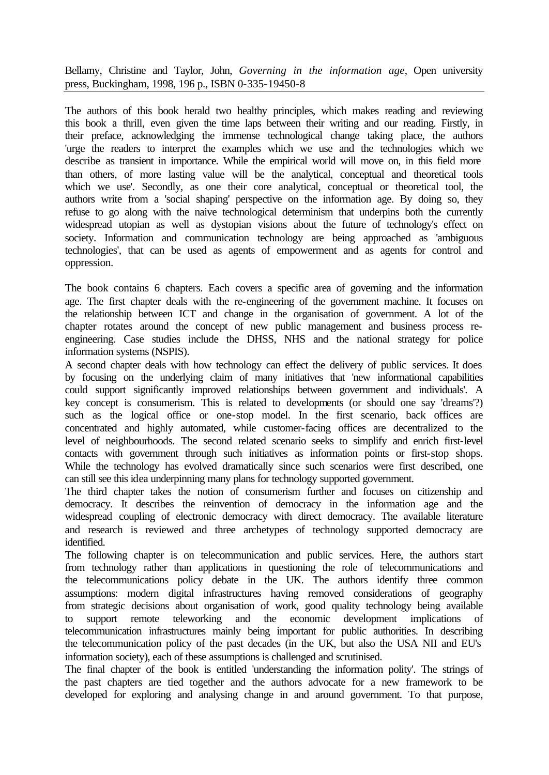Bellamy, Christine and Taylor, John, *Governing in the information age*, Open university press, Buckingham, 1998, 196 p., ISBN 0-335-19450-8

The authors of this book herald two healthy principles, which makes reading and reviewing this book a thrill, even given the time laps between their writing and our reading. Firstly, in their preface, acknowledging the immense technological change taking place, the authors 'urge the readers to interpret the examples which we use and the technologies which we describe as transient in importance. While the empirical world will move on, in this field more than others, of more lasting value will be the analytical, conceptual and theoretical tools which we use'. Secondly, as one their core analytical, conceptual or theoretical tool, the authors write from a 'social shaping' perspective on the information age. By doing so, they refuse to go along with the naive technological determinism that underpins both the currently widespread utopian as well as dystopian visions about the future of technology's effect on society. Information and communication technology are being approached as 'ambiguous technologies', that can be used as agents of empowerment and as agents for control and oppression.

The book contains 6 chapters. Each covers a specific area of governing and the information age. The first chapter deals with the re-engineering of the government machine. It focuses on the relationship between ICT and change in the organisation of government. A lot of the chapter rotates around the concept of new public management and business process reengineering. Case studies include the DHSS, NHS and the national strategy for police information systems (NSPIS).

A second chapter deals with how technology can effect the delivery of public services. It does by focusing on the underlying claim of many initiatives that 'new informational capabilities could support significantly improved relationships between government and individuals'. A key concept is consumerism. This is related to developments (or should one say 'dreams'?) such as the logical office or one-stop model. In the first scenario, back offices are concentrated and highly automated, while customer-facing offices are decentralized to the level of neighbourhoods. The second related scenario seeks to simplify and enrich first-level contacts with government through such initiatives as information points or first-stop shops. While the technology has evolved dramatically since such scenarios were first described, one can still see this idea underpinning many plans for technology supported government.

The third chapter takes the notion of consumerism further and focuses on citizenship and democracy. It describes the reinvention of democracy in the information age and the widespread coupling of electronic democracy with direct democracy. The available literature and research is reviewed and three archetypes of technology supported democracy are identified.

The following chapter is on telecommunication and public services. Here, the authors start from technology rather than applications in questioning the role of telecommunications and the telecommunications policy debate in the UK. The authors identify three common assumptions: modern digital infrastructures having removed considerations of geography from strategic decisions about organisation of work, good quality technology being available to support remote teleworking and the economic development implications of telecommunication infrastructures mainly being important for public authorities. In describing the telecommunication policy of the past decades (in the UK, but also the USA NII and EU's information society), each of these assumptions is challenged and scrutinised.

The final chapter of the book is entitled 'understanding the information polity'. The strings of the past chapters are tied together and the authors advocate for a new framework to be developed for exploring and analysing change in and around government. To that purpose,